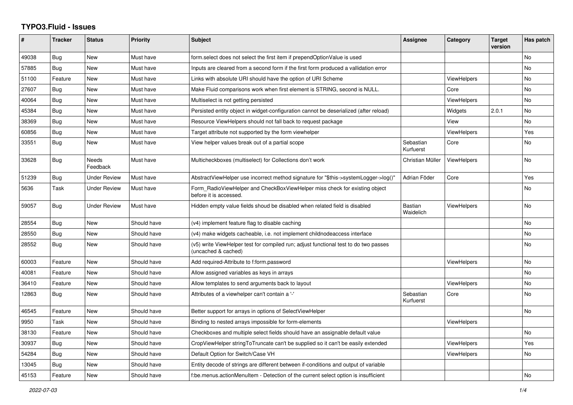## **TYPO3.Fluid - Issues**

| #     | <b>Tracker</b> | <b>Status</b>       | Priority    | <b>Subject</b>                                                                                              | Assignee                    | Category           | <b>Target</b><br>version | Has patch |
|-------|----------------|---------------------|-------------|-------------------------------------------------------------------------------------------------------------|-----------------------------|--------------------|--------------------------|-----------|
| 49038 | <b>Bug</b>     | <b>New</b>          | Must have   | form select does not select the first item if prependOptionValue is used                                    |                             |                    |                          | No        |
| 57885 | Bug            | New                 | Must have   | Inputs are cleared from a second form if the first form produced a vallidation error                        |                             |                    |                          | No        |
| 51100 | Feature        | <b>New</b>          | Must have   | Links with absolute URI should have the option of URI Scheme                                                |                             | <b>ViewHelpers</b> |                          | No.       |
| 27607 | Bug            | <b>New</b>          | Must have   | Make Fluid comparisons work when first element is STRING, second is NULL.                                   |                             | Core               |                          | No        |
| 40064 | Bug            | New                 | Must have   | Multiselect is not getting persisted                                                                        |                             | <b>ViewHelpers</b> |                          | No        |
| 45384 | Bug            | New                 | Must have   | Persisted entity object in widget-configuration cannot be deserialized (after reload)                       |                             | Widgets            | 2.0.1                    | No        |
| 38369 | Bug            | <b>New</b>          | Must have   | Resource ViewHelpers should not fall back to request package                                                |                             | View               |                          | No        |
| 60856 | <b>Bug</b>     | New                 | Must have   | Target attribute not supported by the form viewhelper                                                       |                             | ViewHelpers        |                          | Yes       |
| 33551 | Bug            | New                 | Must have   | View helper values break out of a partial scope                                                             | Sebastian<br>Kurfuerst      | Core               |                          | No        |
| 33628 | Bug            | Needs<br>Feedback   | Must have   | Multicheckboxes (multiselect) for Collections don't work                                                    | Christian Müller            | <b>ViewHelpers</b> |                          | No        |
| 51239 | <b>Bug</b>     | <b>Under Review</b> | Must have   | AbstractViewHelper use incorrect method signature for "\$this->systemLogger->log()"                         | Adrian Föder                | Core               |                          | Yes       |
| 5636  | Task           | <b>Under Review</b> | Must have   | Form RadioViewHelper and CheckBoxViewHelper miss check for existing object<br>before it is accessed.        |                             |                    |                          | No.       |
| 59057 | Bug            | <b>Under Review</b> | Must have   | Hidden empty value fields shoud be disabled when related field is disabled                                  | <b>Bastian</b><br>Waidelich | <b>ViewHelpers</b> |                          | No        |
| 28554 | Bug            | New                 | Should have | (v4) implement feature flag to disable caching                                                              |                             |                    |                          | No        |
| 28550 | Bug            | New                 | Should have | (v4) make widgets cacheable, i.e. not implement childnodeaccess interface                                   |                             |                    |                          | No        |
| 28552 | <b>Bug</b>     | New                 | Should have | (v5) write ViewHelper test for compiled run; adjust functional test to do two passes<br>(uncached & cached) |                             |                    |                          | No        |
| 60003 | Feature        | New                 | Should have | Add required-Attribute to f:form.password                                                                   |                             | <b>ViewHelpers</b> |                          | No        |
| 40081 | Feature        | New                 | Should have | Allow assigned variables as keys in arrays                                                                  |                             |                    |                          | No        |
| 36410 | Feature        | <b>New</b>          | Should have | Allow templates to send arguments back to layout                                                            |                             | <b>ViewHelpers</b> |                          | No        |
| 12863 | Bug            | New                 | Should have | Attributes of a viewhelper can't contain a '-'                                                              | Sebastian<br>Kurfuerst      | Core               |                          | No        |
| 46545 | Feature        | New                 | Should have | Better support for arrays in options of SelectViewHelper                                                    |                             |                    |                          | No        |
| 9950  | Task           | New                 | Should have | Binding to nested arrays impossible for form-elements                                                       |                             | <b>ViewHelpers</b> |                          |           |
| 38130 | Feature        | New                 | Should have | Checkboxes and multiple select fields should have an assignable default value                               |                             |                    |                          | No        |
| 30937 | <b>Bug</b>     | New                 | Should have | CropViewHelper stringToTruncate can't be supplied so it can't be easily extended                            |                             | <b>ViewHelpers</b> |                          | Yes       |
| 54284 | Bug            | New                 | Should have | Default Option for Switch/Case VH                                                                           |                             | <b>ViewHelpers</b> |                          | No        |
| 13045 | Bug            | New                 | Should have | Entity decode of strings are different between if-conditions and output of variable                         |                             |                    |                          |           |
| 45153 | Feature        | New                 | Should have | f:be.menus.actionMenuItem - Detection of the current select option is insufficient                          |                             |                    |                          | No        |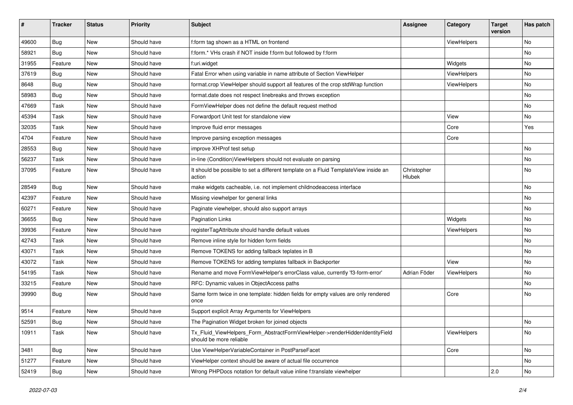| #     | <b>Tracker</b> | <b>Status</b> | <b>Priority</b> | Subject                                                                                                | <b>Assignee</b>       | Category    | <b>Target</b><br>version | Has patch |
|-------|----------------|---------------|-----------------|--------------------------------------------------------------------------------------------------------|-----------------------|-------------|--------------------------|-----------|
| 49600 | Bug            | New           | Should have     | f:form tag shown as a HTML on frontend                                                                 |                       | ViewHelpers |                          | <b>No</b> |
| 58921 | Bug            | New           | Should have     | f:form.* VHs crash if NOT inside f:form but followed by f:form                                         |                       |             |                          | No        |
| 31955 | Feature        | New           | Should have     | f:uri.widget                                                                                           |                       | Widgets     |                          | No        |
| 37619 | Bug            | New           | Should have     | Fatal Error when using variable in name attribute of Section ViewHelper                                |                       | ViewHelpers |                          | No        |
| 8648  | Bug            | New           | Should have     | format.crop ViewHelper should support all features of the crop stdWrap function                        |                       | ViewHelpers |                          | No        |
| 58983 | Bug            | New           | Should have     | format.date does not respect linebreaks and throws exception                                           |                       |             |                          | No        |
| 47669 | Task           | New           | Should have     | FormViewHelper does not define the default request method                                              |                       |             |                          | No        |
| 45394 | Task           | New           | Should have     | Forwardport Unit test for standalone view                                                              |                       | View        |                          | No        |
| 32035 | Task           | New           | Should have     | Improve fluid error messages                                                                           |                       | Core        |                          | Yes       |
| 4704  | Feature        | New           | Should have     | Improve parsing exception messages                                                                     |                       | Core        |                          |           |
| 28553 | <b>Bug</b>     | New           | Should have     | improve XHProf test setup                                                                              |                       |             |                          | <b>No</b> |
| 56237 | Task           | New           | Should have     | in-line (Condition) ViewHelpers should not evaluate on parsing                                         |                       |             |                          | No        |
| 37095 | Feature        | New           | Should have     | It should be possible to set a different template on a Fluid TemplateView inside an<br>action          | Christopher<br>Hlubek |             |                          | <b>No</b> |
| 28549 | Bug            | New           | Should have     | make widgets cacheable, i.e. not implement childnodeaccess interface                                   |                       |             |                          | No        |
| 42397 | Feature        | New           | Should have     | Missing viewhelper for general links                                                                   |                       |             |                          | No        |
| 60271 | Feature        | New           | Should have     | Paginate viewhelper, should also support arrays                                                        |                       |             |                          | No        |
| 36655 | Bug            | New           | Should have     | <b>Pagination Links</b>                                                                                |                       | Widgets     |                          | No        |
| 39936 | Feature        | <b>New</b>    | Should have     | registerTagAttribute should handle default values                                                      |                       | ViewHelpers |                          | <b>No</b> |
| 42743 | Task           | New           | Should have     | Remove inline style for hidden form fields                                                             |                       |             |                          | No        |
| 43071 | Task           | New           | Should have     | Remove TOKENS for adding fallback teplates in B                                                        |                       |             |                          | No        |
| 43072 | Task           | New           | Should have     | Remove TOKENS for adding templates fallback in Backporter                                              |                       | View        |                          | No        |
| 54195 | Task           | New           | Should have     | Rename and move FormViewHelper's errorClass value, currently 'f3-form-error'                           | Adrian Föder          | ViewHelpers |                          | No        |
| 33215 | Feature        | New           | Should have     | RFC: Dynamic values in ObjectAccess paths                                                              |                       |             |                          | <b>No</b> |
| 39990 | <b>Bug</b>     | New           | Should have     | Same form twice in one template: hidden fields for empty values are only rendered<br>once              |                       | Core        |                          | No        |
| 9514  | Feature        | <b>New</b>    | Should have     | Support explicit Array Arguments for ViewHelpers                                                       |                       |             |                          |           |
| 52591 | Bug            | New           | Should have     | The Pagination Widget broken for joined objects                                                        |                       |             |                          | No        |
| 10911 | Task           | New           | Should have     | Tx_Fluid_ViewHelpers_Form_AbstractFormViewHelper->renderHiddenIdentityField<br>should be more reliable |                       | ViewHelpers |                          | No        |
| 3481  | Bug            | New           | Should have     | Use ViewHelperVariableContainer in PostParseFacet                                                      |                       | Core        |                          | No        |
| 51277 | Feature        | New           | Should have     | ViewHelper context should be aware of actual file occurrence                                           |                       |             |                          | No        |
| 52419 | <b>Bug</b>     | New           | Should have     | Wrong PHPDocs notation for default value inline f:translate viewhelper                                 |                       |             | 2.0                      | No        |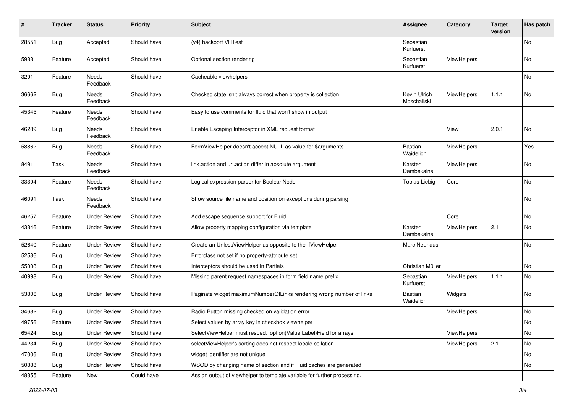| $\#$  | <b>Tracker</b> | <b>Status</b>       | <b>Priority</b> | <b>Subject</b>                                                           | <b>Assignee</b>             | Category    | <b>Target</b><br>version | Has patch |
|-------|----------------|---------------------|-----------------|--------------------------------------------------------------------------|-----------------------------|-------------|--------------------------|-----------|
| 28551 | <b>Bug</b>     | Accepted            | Should have     | (v4) backport VHTest                                                     | Sebastian<br>Kurfuerst      |             |                          | <b>No</b> |
| 5933  | Feature        | Accepted            | Should have     | Optional section rendering                                               | Sebastian<br>Kurfuerst      | ViewHelpers |                          | No        |
| 3291  | Feature        | Needs<br>Feedback   | Should have     | Cacheable viewhelpers                                                    |                             |             |                          | No        |
| 36662 | Bug            | Needs<br>Feedback   | Should have     | Checked state isn't always correct when property is collection           | Kevin Ulrich<br>Moschallski | ViewHelpers | 1.1.1                    | No        |
| 45345 | Feature        | Needs<br>Feedback   | Should have     | Easy to use comments for fluid that won't show in output                 |                             |             |                          |           |
| 46289 | Bug            | Needs<br>Feedback   | Should have     | Enable Escaping Interceptor in XML request format                        |                             | View        | 2.0.1                    | <b>No</b> |
| 58862 | <b>Bug</b>     | Needs<br>Feedback   | Should have     | FormViewHelper doesn't accept NULL as value for \$arguments              | <b>Bastian</b><br>Waidelich | ViewHelpers |                          | Yes       |
| 8491  | Task           | Needs<br>Feedback   | Should have     | link.action and uri.action differ in absolute argument                   | Karsten<br>Dambekalns       | ViewHelpers |                          | No        |
| 33394 | Feature        | Needs<br>Feedback   | Should have     | Logical expression parser for BooleanNode                                | <b>Tobias Liebig</b>        | Core        |                          | No        |
| 46091 | Task           | Needs<br>Feedback   | Should have     | Show source file name and position on exceptions during parsing          |                             |             |                          | No        |
| 46257 | Feature        | <b>Under Review</b> | Should have     | Add escape sequence support for Fluid                                    |                             | Core        |                          | No        |
| 43346 | Feature        | <b>Under Review</b> | Should have     | Allow property mapping configuration via template                        | Karsten<br>Dambekalns       | ViewHelpers | 2.1                      | No        |
| 52640 | Feature        | <b>Under Review</b> | Should have     | Create an UnlessViewHelper as opposite to the IfViewHelper               | Marc Neuhaus                |             |                          | No        |
| 52536 | Bug            | <b>Under Review</b> | Should have     | Errorclass not set if no property-attribute set                          |                             |             |                          |           |
| 55008 | Bug            | <b>Under Review</b> | Should have     | Interceptors should be used in Partials                                  | Christian Müller            |             |                          | No        |
| 40998 | Bug            | <b>Under Review</b> | Should have     | Missing parent request namespaces in form field name prefix              | Sebastian<br>Kurfuerst      | ViewHelpers | 1.1.1                    | No        |
| 53806 | Bug            | <b>Under Review</b> | Should have     | Paginate widget maximumNumberOfLinks rendering wrong number of links     | Bastian<br>Waidelich        | Widgets     |                          | No        |
| 34682 | Bug            | <b>Under Review</b> | Should have     | Radio Button missing checked on validation error                         |                             | ViewHelpers |                          | No        |
| 49756 | Feature        | <b>Under Review</b> | Should have     | Select values by array key in checkbox viewhelper                        |                             |             |                          | No        |
| 65424 | Bug            | <b>Under Review</b> | Should have     | SelectViewHelper must respect option(Value Label)Field for arrays        |                             | ViewHelpers |                          | No        |
| 44234 | <b>Bug</b>     | <b>Under Review</b> | Should have     | selectViewHelper's sorting does not respect locale collation             |                             | ViewHelpers | 2.1                      | No        |
| 47006 | Bug            | <b>Under Review</b> | Should have     | widget identifier are not unique                                         |                             |             |                          | No        |
| 50888 | Bug            | <b>Under Review</b> | Should have     | WSOD by changing name of section and if Fluid caches are generated       |                             |             |                          | No        |
| 48355 | Feature        | New                 | Could have      | Assign output of viewhelper to template variable for further processing. |                             |             |                          |           |